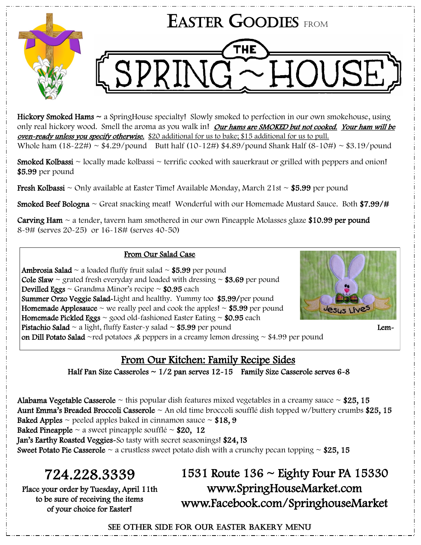## EASTER GOODIES FROM



# SPRI ISI

Hickory Smoked Hams  $\sim$  a SpringHouse specialty! Slowly smoked to perfection in our own smokehouse, using only real hickory wood. Smell the aroma as you walk in! Our hams are SMOKED but not cooked. Your ham will be oven-ready unless you specify otherwise. \$20 additional for us to bake; \$15 additional for us to pull.

Whole ham  $(18-22\#) \sim $4.29$ /pound Butt half  $(10-12\#) $4.89$ /pound Shank Half  $(8-10\#) \sim $3.19$ /pound

**Smoked Kolbassi**  $\sim$  locally made kolbassi  $\sim$  terrific cooked with sauerkraut or grilled with peppers and onion! \$5.99 per pound

**Fresh Kolbassi** ~ Only available at Easter Time! Available Monday, March  $21st \sim $5.99$  per pound

Smoked Beef Bologna  $\sim$  Great snacking meat! Wonderful with our Homemade Mustard Sauce. Both \$7.99/#

**Carving Ham**  $\sim$  a tender, tavern ham smothered in our own Pineapple Molasses glaze \$10.99 per pound 8-9# (serves 20-25) or 16-18# (serves 40-50)

#### From Our Salad Case

**Ambrosia Salad**  $\sim$  a loaded fluffy fruit salad  $\sim$  \$5.99 per pound Cole Slaw  $\sim$  grated fresh everyday and loaded with dressing  $\sim$  \$3.69 per pound Devilled Eggs  $\sim$  Grandma Minor's recipe  $\sim$  \$0.95 each Summer Orzo Veggie Salad-Light and healthy. Yummy too \$5.99/per pound Homemade Applesauce  $\sim$  we really peel and cook the apples!  $\sim$  \$5.99 per pound Homemade Pickled Eggs  $\sim$  good old-fashioned Easter Eating  $\sim$  \$0.95 each Pistachio Salad  $\sim$  a light, fluffy Easter-y salad  $\sim$  \$5.99 per pound Lemon Dill Potato Salad ~red potatoes ,& peppers in a creamy lemon dressing  $\sim$  \$4.99 per pound



## From Our Kitchen: Family Recipe Sides

Half Pan Size Casseroles  $\sim 1/2$  pan serves  $12 - 15$  Family Size Casserole serves 6-8

Alabama Vegetable Casserole  $\sim$  this popular dish features mixed vegetables in a creamy sauce  $\sim$  \$25, 15 Aunt Emma's Breaded Broccoli Casserole  $\sim$  An old time broccoli soufflé dish topped w/buttery crumbs \$25, 15 Baked Apples  $\sim$  peeled apples baked in cinnamon sauce  $\sim$  \$18, 9 Baked Pineapple  $\sim$  a sweet pineapple soufflé  $\sim$  \$20, 12 Jan's Earthy Roasted Veggies-So tasty with secret seasonings! \$24, !3

Sweet Potato Pie Casserole  $\sim$  a crustless sweet potato dish with a crunchy pecan topping  $\sim$  \$25, 15

## 724.228.3339

Place your order by Tuesday, April 11th to be sure of receiving the items of your choice for Easter!

1531 Route 136 ~ Eighty Four PA 15330 www.SpringHouseMarket.com www.Facebook.com/SpringhouseMarket

#### See other side for our Easter bakery menu